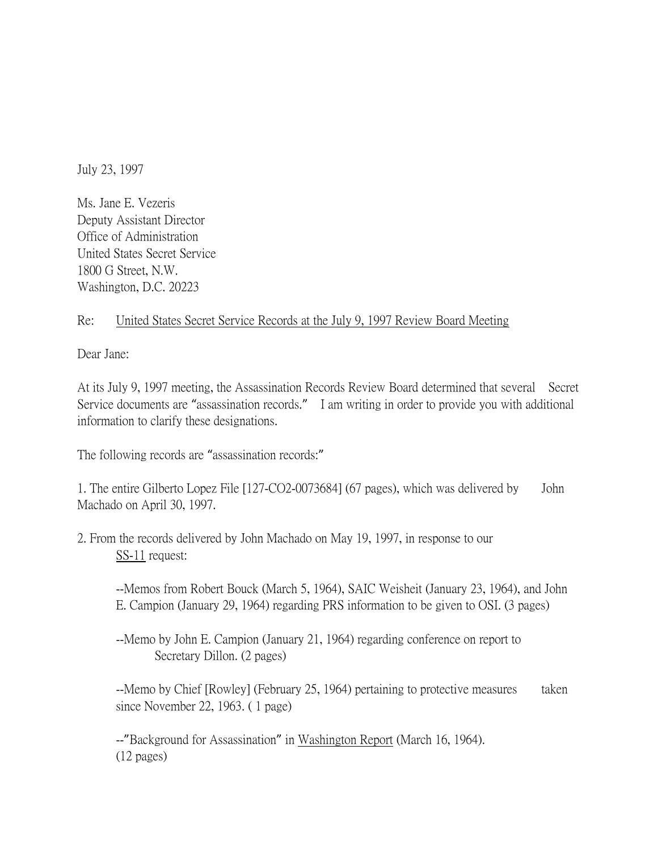July 23, 1997

Ms. Jane E. Vezeris Deputy Assistant Director Office of Administration United States Secret Service 1800 G Street, N.W. Washington, D.C. 20223

## Re: United States Secret Service Records at the July 9, 1997 Review Board Meeting

Dear Jane:

At its July 9, 1997 meeting, the Assassination Records Review Board determined that several Secret Service documents are "assassination records." I am writing in order to provide you with additional information to clarify these designations.

The following records are "assassination records:"

1. The entire Gilberto Lopez File [127-CO2-0073684] (67 pages), which was delivered by John Machado on April 30, 1997.

2. From the records delivered by John Machado on May 19, 1997, in response to our SS-11 request:

--Memos from Robert Bouck (March 5, 1964), SAIC Weisheit (January 23, 1964), and John E. Campion (January 29, 1964) regarding PRS information to be given to OSI. (3 pages)

--Memo by John E. Campion (January 21, 1964) regarding conference on report to Secretary Dillon. (2 pages)

--Memo by Chief [Rowley] (February 25, 1964) pertaining to protective measures taken since November 22, 1963. ( 1 page)

--"Background for Assassination" in Washington Report (March 16, 1964). (12 pages)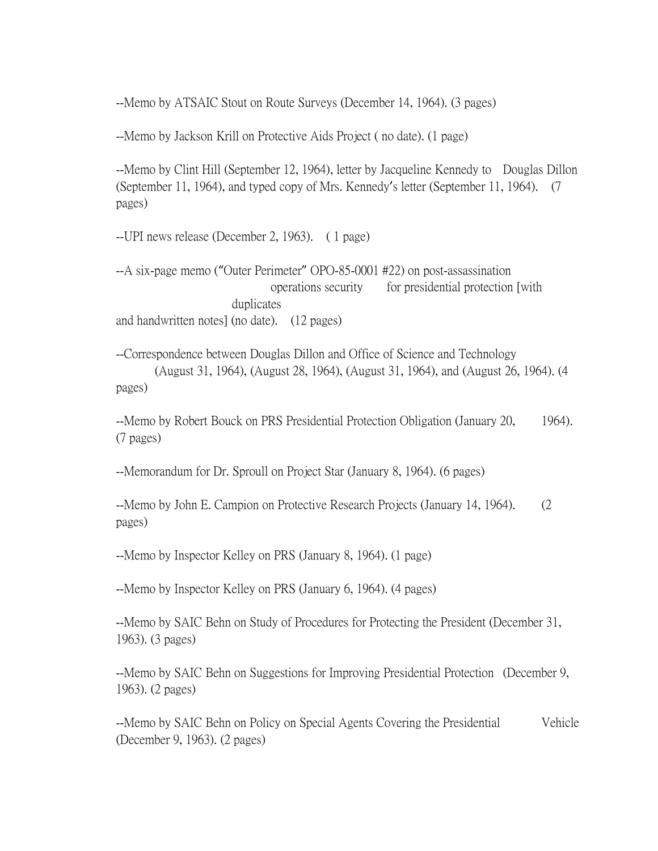--Memo by ATSAIC Stout on Route Surveys (December 14, 1964). (3 pages)

--Memo by Jackson Krill on Protective Aids Project ( no date). (1 page)

--Memo by Clint Hill (September 12, 1964), letter by Jacqueline Kennedy to Douglas Dillon (September 11, 1964), and typed copy of Mrs. Kennedy's letter (September 11, 1964). (7 pages)

--UPI news release (December 2, 1963). ( 1 page)

--A six-page memo ("Outer Perimeter" OPO-85-0001 #22) on post-assassination operations security for presidential protection [with duplicates and handwritten notes] (no date). (12 pages)

--Correspondence between Douglas Dillon and Office of Science and Technology (August 31, 1964), (August 28, 1964), (August 31, 1964), and (August 26, 1964). (4 pages)

--Memo by Robert Bouck on PRS Presidential Protection Obligation (January 20, 1964). (7 pages)

--Memorandum for Dr. Sproull on Project Star (January 8, 1964). (6 pages)

--Memo by John E. Campion on Protective Research Projects (January 14, 1964). (2 pages)

--Memo by Inspector Kelley on PRS (January 8, 1964). (1 page)

--Memo by Inspector Kelley on PRS (January 6, 1964). (4 pages)

--Memo by SAIC Behn on Study of Procedures for Protecting the President (December 31, 1963). (3 pages)

--Memo by SAIC Behn on Suggestions for Improving Presidential Protection (December 9, 1963). (2 pages)

--Memo by SAIC Behn on Policy on Special Agents Covering the Presidential Vehicle (December 9, 1963). (2 pages)